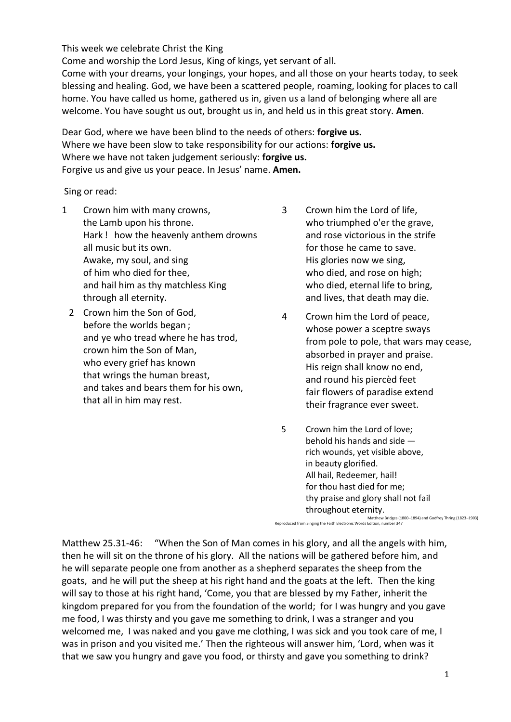## This week we celebrate Christ the King

Come and worship the Lord Jesus, King of kings, yet servant of all.

Come with your dreams, your longings, your hopes, and all those on your hearts today, to seek blessing and healing. God, we have been a scattered people, roaming, looking for places to call home. You have called us home, gathered us in, given us a land of belonging where all are welcome. You have sought us out, brought us in, and held us in this great story. **Amen**.

Dear God, where we have been blind to the needs of others: **forgive us.** Where we have been slow to take responsibility for our actions: **forgive us.** Where we have not taken judgement seriously: **forgive us.** Forgive us and give us your peace. In Jesus' name. **Amen.**

Sing or read:

- 1 Crown him with many crowns, the Lamb upon his throne. Hark ! how the heavenly anthem drowns all music but its own. Awake, my soul, and sing of him who died for thee, and hail him as thy matchless King through all eternity.
	- 2 Crown him the Son of God, before the worlds began ; and ye who tread where he has trod, crown him the Son of Man, who every grief has known that wrings the human breast, and takes and bears them for his own, that all in him may rest.
- 3 Crown him the Lord of life, who triumphed o'er the grave, and rose victorious in the strife for those he came to save. His glories now we sing, who died, and rose on high; who died, eternal life to bring, and lives, that death may die.
- 4 Crown him the Lord of peace, whose power a sceptre sways from pole to pole, that wars may cease, absorbed in prayer and praise. His reign shall know no end, and round his piercèd feet fair flowers of paradise extend their fragrance ever sweet.
- 5 Crown him the Lord of love; behold his hands and side rich wounds, yet visible above, in beauty glorified. All hail, Redeemer, hail! for thou hast died for me; thy praise and glory shall not fail throughout eternity.

Matthew Bridges (1800–1894) and Godfrey Thring (1823–1903)<br>Reproduced from Singing the Faith Electronic Words Edition, number 347

Matthew 25.31-46: "When the Son of Man comes in his glory, and all the angels with him, then he will sit on the throne of his glory. All the nations will be gathered before him, and he will separate people one from another as a shepherd separates the sheep from the goats, and he will put the sheep at his right hand and the goats at the left. Then the king will say to those at his right hand, 'Come, you that are blessed by my Father, inherit the kingdom prepared for you from the foundation of the world; for I was hungry and you gave me food, I was thirsty and you gave me something to drink, I was a stranger and you welcomed me, I was naked and you gave me clothing, I was sick and you took care of me, I was in prison and you visited me.' Then the righteous will answer him, 'Lord, when was it that we saw you hungry and gave you food, or thirsty and gave you something to drink?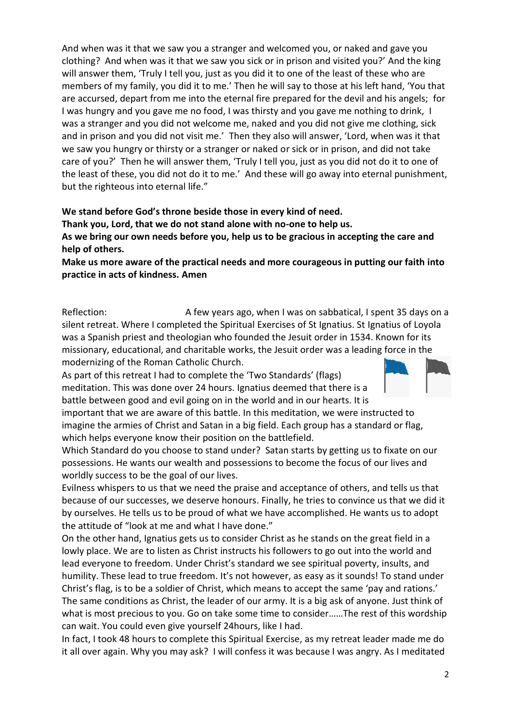And when was it that we saw you a stranger and welcomed you, or naked and gave you clothing? And when was it that we saw you sick or in prison and visited you?' And the king will answer them, 'Truly I tell you, just as you did it to one of the least of these who are members of my family, you did it to me.' Then he will say to those at his left hand, 'You that are accursed, depart from me into the eternal fire prepared for the devil and his angels; for I was hungry and you gave me no food, I was thirsty and you gave me nothing to drink, I was a stranger and you did not welcome me, naked and you did not give me clothing, sick and in prison and you did not visit me.' Then they also will answer, 'Lord, when was it that we saw you hungry or thirsty or a stranger or naked or sick or in prison, and did not take care of you?' Then he will answer them, 'Truly I tell you, just as you did not do it to one of the least of these, you did not do it to me.' And these will go away into eternal punishment, but the righteous into eternal life."

## **We stand before God's throne beside those in every kind of need. Thank you, Lord, that we do not stand alone with no-one to help us. As we bring our own needs before you, help us to be gracious in accepting the care and help of others.**

**Make us more aware of the practical needs and more courageous in putting our faith into practice in acts of kindness. Amen**

Reflection: A few years ago, when I was on sabbatical, I spent 35 days on a silent retreat. Where I completed the Spiritual Exercises of St Ignatius. St Ignatius of Loyola was a Spanish priest and theologian who founded the Jesuit order in 1534. Known for its missionary, educational, and charitable works, the Jesuit order was a leading force in the modernizing of the Roman Catholic Church.

As part of this retreat I had to complete the 'Two Standards' (flags) meditation. This was done over 24 hours. Ignatius deemed that there is a battle between good and evil going on in the world and in our hearts. It is

important that we are aware of this battle. In this meditation, we were instructed to imagine the armies of Christ and Satan in a big field. Each group has a standard or flag, which helps everyone know their position on the battlefield.

Which Standard do you choose to stand under? Satan starts by getting us to fixate on our possessions. He wants our wealth and possessions to become the focus of our lives and worldly success to be the goal of our lives.

Evilness whispers to us that we need the praise and acceptance of others, and tells us that because of our successes, we deserve honours. Finally, he tries to convince us that we did it by ourselves. He tells us to be proud of what we have accomplished. He wants us to adopt the attitude of "look at me and what I have done."

On the other hand, Ignatius gets us to consider Christ as he stands on the great field in a lowly place. We are to listen as Christ instructs his followers to go out into the world and lead everyone to freedom. Under Christ's standard we see spiritual poverty, insults, and humility. These lead to true freedom. It's not however, as easy as it sounds! To stand under Christ's flag, is to be a soldier of Christ, which means to accept the same 'pay and rations.' The same conditions as Christ, the leader of our army. It is a big ask of anyone. Just think of what is most precious to you. Go on take some time to consider……The rest of this wordship can wait. You could even give yourself 24hours, like I had.

In fact, I took 48 hours to complete this Spiritual Exercise, as my retreat leader made me do it all over again. Why you may ask? I will confess it was because I was angry. As I meditated

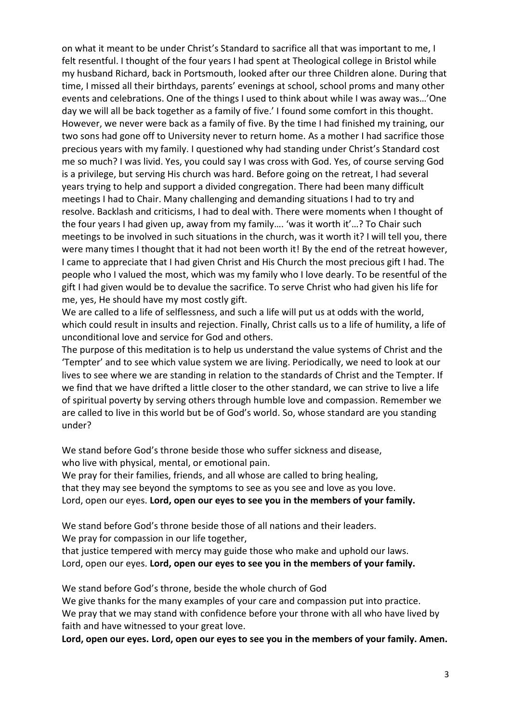on what it meant to be under Christ's Standard to sacrifice all that was important to me, I felt resentful. I thought of the four years I had spent at Theological college in Bristol while my husband Richard, back in Portsmouth, looked after our three Children alone. During that time, I missed all their birthdays, parents' evenings at school, school proms and many other events and celebrations. One of the things I used to think about while I was away was…'One day we will all be back together as a family of five.' I found some comfort in this thought. However, we never were back as a family of five. By the time I had finished my training, our two sons had gone off to University never to return home. As a mother I had sacrifice those precious years with my family. I questioned why had standing under Christ's Standard cost me so much? I was livid. Yes, you could say I was cross with God. Yes, of course serving God is a privilege, but serving His church was hard. Before going on the retreat, I had several years trying to help and support a divided congregation. There had been many difficult meetings I had to Chair. Many challenging and demanding situations I had to try and resolve. Backlash and criticisms, I had to deal with. There were moments when I thought of the four years I had given up, away from my family…. 'was it worth it'…? To Chair such meetings to be involved in such situations in the church, was it worth it? I will tell you, there were many times I thought that it had not been worth it! By the end of the retreat however, I came to appreciate that I had given Christ and His Church the most precious gift I had. The people who I valued the most, which was my family who I love dearly. To be resentful of the gift I had given would be to devalue the sacrifice. To serve Christ who had given his life for me, yes, He should have my most costly gift.

We are called to a life of selflessness, and such a life will put us at odds with the world, which could result in insults and rejection. Finally, Christ calls us to a life of humility, a life of unconditional love and service for God and others.

The purpose of this meditation is to help us understand the value systems of Christ and the 'Tempter' and to see which value system we are living. Periodically, we need to look at our lives to see where we are standing in relation to the standards of Christ and the Tempter. If we find that we have drifted a little closer to the other standard, we can strive to live a life of spiritual poverty by serving others through humble love and compassion. Remember we are called to live in this world but be of God's world. So, whose standard are you standing under?

We stand before God's throne beside those who suffer sickness and disease, who live with physical, mental, or emotional pain.

We pray for their families, friends, and all whose are called to bring healing, that they may see beyond the symptoms to see as you see and love as you love. Lord, open our eyes. **Lord, open our eyes to see you in the members of your family.** 

We stand before God's throne beside those of all nations and their leaders. We pray for compassion in our life together,

that justice tempered with mercy may guide those who make and uphold our laws. Lord, open our eyes. **Lord, open our eyes to see you in the members of your family.** 

We stand before God's throne, beside the whole church of God We give thanks for the many examples of your care and compassion put into practice. We pray that we may stand with confidence before your throne with all who have lived by faith and have witnessed to your great love.

**Lord, open our eyes. Lord, open our eyes to see you in the members of your family. Amen.**